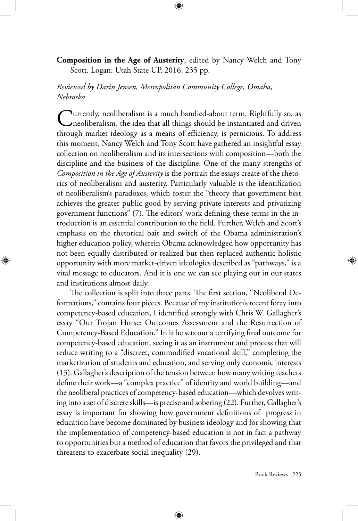## **Composition in the Age of Austerity**, edited by Nancy Welch and Tony Scott. Logan: Utah State UP, 2016. 235 pp.

⊕

*Reviewed by Darin Jensen, Metropolitan Community College, Omaha, Nebraska*

Currently, neoliberalism is a much bandied-about term. Rightfully so, as<br>neoliberalism, the idea that all things should be instantiated and driven through market ideology as a means of efficiency, is pernicious. To address this moment, Nancy Welch and Tony Scott have gathered an insightful essay collection on neoliberalism and its intersections with composition—both the discipline and the business of the discipline. One of the many strengths of *Composition in the Age of Austerity* is the portrait the essays create of the rhetorics of neoliberalism and austerity. Particularly valuable is the identification of neoliberalism's paradoxes, which foster the "theory that government best achieves the greater public good by serving private interests and privatizing government functions" (7). The editors' work defining these terms in the introduction is an essential contribution to the field. Further, Welch and Scott's emphasis on the rhetorical bait and switch of the Obama administration's higher education policy, wherein Obama acknowledged how opportunity has not been equally distributed or realized but then replaced authentic holistic opportunity with more market-driven ideologies described as "pathways," is a vital message to educators. And it is one we can see playing out in our states and institutions almost daily.

⊕

The collection is split into three parts. The first section, "Neoliberal Deformations," contains four pieces. Because of my institution's recent foray into competency-based education, I identified strongly with Chris W. Gallagher's essay "Our Trojan Horse: Outcomes Assessment and the Resurrection of Competency-Based Education." In it he sets out a terrifying final outcome for competency-based education, seeing it as an instrument and process that will reduce writing to a "discreet, commodified vocational skill," completing the marketization of students and education, and serving only economic interests (13). Gallagher's description of the tension between how many writing teachers define their work—a "complex practice" of identity and world building—and the neoliberal practices of competency-based education—which devolves writing into a set of discrete skills—is precise and sobering (22). Further, Gallagher's essay is important for showing how government definitions of progress in education have become dominated by business ideology and for showing that the implementation of competency-based education is not in fact a pathway to opportunities but a method of education that favors the privileged and that threatens to exacerbate social inequality (29).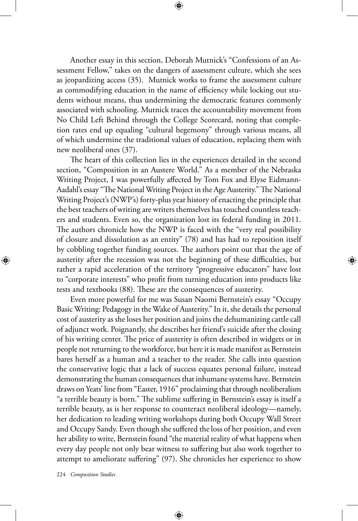Another essay in this section, Deborah Mutnick's "Confessions of an Assessment Fellow," takes on the dangers of assessment culture, which she sees as jeopardizing access (35). Mutnick works to frame the assessment culture as commodifying education in the name of efficiency while locking out students without means, thus undermining the democratic features commonly associated with schooling. Mutnick traces the accountability movement from No Child Left Behind through the College Scorecard, noting that completion rates end up equaling "cultural hegemony" through various means, all of which undermine the traditional values of education, replacing them with new neoliberal ones (37).

⊕

The heart of this collection lies in the experiences detailed in the second section, "Composition in an Austere World." As a member of the Nebraska Writing Project, I was powerfully affected by Tom Fox and Elyse Eidmann-Aadahl's essay "The National Writing Project in the Age Austerity." The National Writing Project's (NWP's) forty-plus year history of enacting the principle that the best teachers of writing are writers themselves has touched countless teachers and students. Even so, the organization lost its federal funding in 2011. The authors chronicle how the NWP is faced with the "very real possibility of closure and dissolution as an entity" (78) and has had to reposition itself by cobbling together funding sources. The authors point out that the age of austerity after the recession was not the beginning of these difficulties, but rather a rapid acceleration of the territory "progressive educators" have lost to "corporate interests" who profit from turning education into products like tests and textbooks (88). These are the consequences of austerity.

Even more powerful for me was Susan Naomi Bernstein's essay "Occupy Basic Writing: Pedagogy in the Wake of Austerity." In it, she details the personal cost of austerity as she loses her position and joins the dehumanizing cattle call of adjunct work. Poignantly, she describes her friend's suicide after the closing of his writing center. The price of austerity is often described in widgets or in people not returning to the workforce, but here it is made manifest as Bernstein bares herself as a human and a teacher to the reader. She calls into question the conservative logic that a lack of success equates personal failure, instead demonstrating the human consequences that inhumane systems have. Bernstein draws on Yeats' line from "Easter, 1916" proclaiming that through neoliberalism "a terrible beauty is born." The sublime suffering in Bernstein's essay is itself a terrible beauty, as is her response to counteract neoliberal ideology—namely, her dedication to leading writing workshops during both Occupy Wall Street and Occupy Sandy. Even though she suffered the loss of her position, and even her ability to write, Bernstein found "the material reality of what happens when every day people not only bear witness to suffering but also work together to attempt to ameliorate suffering" (97). She chronicles her experience to show

⊕

224 *Composition Studies*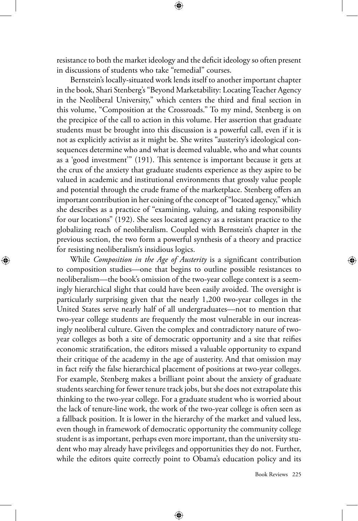resistance to both the market ideology and the deficit ideology so often present in discussions of students who take "remedial" courses.

Bernstein's locally-situated work lends itself to another important chapter in the book, Shari Stenberg's "Beyond Marketability: Locating Teacher Agency in the Neoliberal University," which centers the third and final section in this volume, "Composition at the Crossroads." To my mind, Stenberg is on the precipice of the call to action in this volume. Her assertion that graduate students must be brought into this discussion is a powerful call, even if it is not as explicitly activist as it might be. She writes "austerity's ideological consequences determine who and what is deemed valuable, who and what counts as a 'good investment'" (191). This sentence is important because it gets at the crux of the anxiety that graduate students experience as they aspire to be valued in academic and institutional environments that grossly value people and potential through the crude frame of the marketplace. Stenberg offers an important contribution in her coining of the concept of "located agency," which she describes as a practice of "examining, valuing, and taking responsibility for our locations" (192). She sees located agency as a resistant practice to the globalizing reach of neoliberalism. Coupled with Bernstein's chapter in the previous section, the two form a powerful synthesis of a theory and practice for resisting neoliberalism's insidious logics.

⊕

While *Composition in the Age of Austerity* is a significant contribution to composition studies—one that begins to outline possible resistances to neoliberalism—the book's omission of the two-year college context is a seemingly hierarchical slight that could have been easily avoided. The oversight is particularly surprising given that the nearly 1,200 two-year colleges in the United States serve nearly half of all undergraduates—not to mention that two-year college students are frequently the most vulnerable in our increasingly neoliberal culture. Given the complex and contradictory nature of twoyear colleges as both a site of democratic opportunity and a site that reifies economic stratification, the editors missed a valuable opportunity to expand their critique of the academy in the age of austerity. And that omission may in fact reify the false hierarchical placement of positions at two-year colleges. For example, Stenberg makes a brilliant point about the anxiety of graduate students searching for fewer tenure track jobs, but she does not extrapolate this thinking to the two-year college. For a graduate student who is worried about the lack of tenure-line work, the work of the two-year college is often seen as a fallback position. It is lower in the hierarchy of the market and valued less, even though in framework of democratic opportunity the community college student is as important, perhaps even more important, than the university student who may already have privileges and opportunities they do not. Further, while the editors quite correctly point to Obama's education policy and its